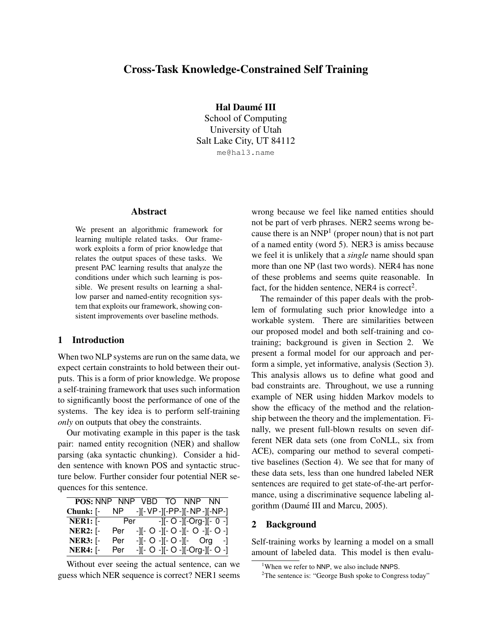# Cross-Task Knowledge-Constrained Self Training

Hal Daumé III

School of Computing University of Utah Salt Lake City, UT 84112 me@hal3.name

# Abstract

We present an algorithmic framework for learning multiple related tasks. Our framework exploits a form of prior knowledge that relates the output spaces of these tasks. We present PAC learning results that analyze the conditions under which such learning is possible. We present results on learning a shallow parser and named-entity recognition system that exploits our framework, showing consistent improvements over baseline methods.

# 1 Introduction

When two NLP systems are run on the same data, we expect certain constraints to hold between their outputs. This is a form of prior knowledge. We propose a self-training framework that uses such information to significantly boost the performance of one of the systems. The key idea is to perform self-training *only* on outputs that obey the constraints.

Our motivating example in this paper is the task pair: named entity recognition (NER) and shallow parsing (aka syntactic chunking). Consider a hidden sentence with known POS and syntactic structure below. Further consider four potential NER sequences for this sentence.

|                 |      | POS: NNP NNP VBD TO NNP NN     |  |                                     |
|-----------------|------|--------------------------------|--|-------------------------------------|
| Chunk: [-       | NP . | -][- VP -][-PP-][- NP -][-NP-] |  |                                     |
| $NER1:$ [-      |      | Per - -][- O -][-Org-][- 0 -]  |  |                                     |
| <b>NER2:</b> [- | Per  |                                |  | -1- 0 -1- 0 -1- 0 -1- 0 -1          |
| <b>NER3:</b> [- | Per  |                                |  | $-  -$ O $-  -$ O $-  -$ Org $    $ |
| $NER4:$ [-      | Per  |                                |  | -][- O -][- O -][-Org-][- O -]      |

Without ever seeing the actual sentence, can we guess which NER sequence is correct? NER1 seems wrong because we feel like named entities should not be part of verb phrases. NER2 seems wrong because there is an  $NNP<sup>1</sup>$  (proper noun) that is not part of a named entity (word 5). NER3 is amiss because we feel it is unlikely that a *single* name should span more than one NP (last two words). NER4 has none of these problems and seems quite reasonable. In fact, for the hidden sentence, NER4 is correct<sup>2</sup>.

The remainder of this paper deals with the problem of formulating such prior knowledge into a workable system. There are similarities between our proposed model and both self-training and cotraining; background is given in Section 2. We present a formal model for our approach and perform a simple, yet informative, analysis (Section 3). This analysis allows us to define what good and bad constraints are. Throughout, we use a running example of NER using hidden Markov models to show the efficacy of the method and the relationship between the theory and the implementation. Finally, we present full-blown results on seven different NER data sets (one from CoNLL, six from ACE), comparing our method to several competitive baselines (Section 4). We see that for many of these data sets, less than one hundred labeled NER sentences are required to get state-of-the-art performance, using a discriminative sequence labeling algorithm (Daumé III and Marcu, 2005).

### 2 Background

Self-training works by learning a model on a small amount of labeled data. This model is then evalu-

<sup>&</sup>lt;sup>1</sup>When we refer to NNP, we also include NNPS.

<sup>&</sup>lt;sup>2</sup>The sentence is: "George Bush spoke to Congress today"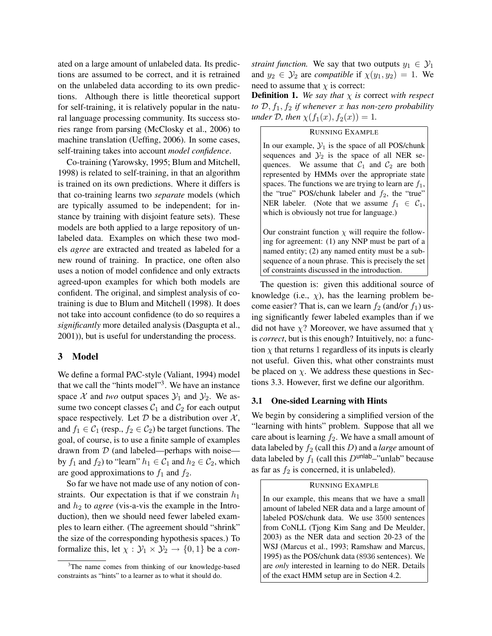ated on a large amount of unlabeled data. Its predictions are assumed to be correct, and it is retrained on the unlabeled data according to its own predictions. Although there is little theoretical support for self-training, it is relatively popular in the natural language processing community. Its success stories range from parsing (McClosky et al., 2006) to machine translation (Ueffing, 2006). In some cases, self-training takes into account *model confidence*.

Co-training (Yarowsky, 1995; Blum and Mitchell, 1998) is related to self-training, in that an algorithm is trained on its own predictions. Where it differs is that co-training learns two *separate* models (which are typically assumed to be independent; for instance by training with disjoint feature sets). These models are both applied to a large repository of unlabeled data. Examples on which these two models *agree* are extracted and treated as labeled for a new round of training. In practice, one often also uses a notion of model confidence and only extracts agreed-upon examples for which both models are confident. The original, and simplest analysis of cotraining is due to Blum and Mitchell (1998). It does not take into account confidence (to do so requires a *significantly* more detailed analysis (Dasgupta et al., 2001)), but is useful for understanding the process.

# 3 Model

We define a formal PAC-style (Valiant, 1994) model that we call the "hints model"<sup>3</sup>. We have an instance space  $X$  and *two* output spaces  $Y_1$  and  $Y_2$ . We assume two concept classes  $C_1$  and  $C_2$  for each output space respectively. Let  $D$  be a distribution over  $\mathcal{X}$ , and  $f_1 \in C_1$  (resp.,  $f_2 \in C_2$ ) be target functions. The goal, of course, is to use a finite sample of examples drawn from  $D$  (and labeled—perhaps with noise by  $f_1$  and  $f_2$ ) to "learn"  $h_1 \in C_1$  and  $h_2 \in C_2$ , which are good approximations to  $f_1$  and  $f_2$ .

So far we have not made use of any notion of constraints. Our expectation is that if we constrain  $h_1$ and  $h_2$  to *agree* (vis-a-vis the example in the Introduction), then we should need fewer labeled examples to learn either. (The agreement should "shrink" the size of the corresponding hypothesis spaces.) To formalize this, let  $\chi : \mathcal{Y}_1 \times \mathcal{Y}_2 \rightarrow \{0, 1\}$  be a *con*- *straint function.* We say that two outputs  $y_1 \in \mathcal{Y}_1$ and  $y_2 \in \mathcal{Y}_2$  are *compatible* if  $\chi(y_1, y_2) = 1$ . We need to assume that  $\chi$  is correct:

**Definition 1.** We say that  $\chi$  is correct with respect *to*  $\mathcal{D}, f_1, f_2$  *if whenever* x *has non-zero probability under*  $D$ *, then*  $\chi(f_1(x), f_2(x)) = 1$ *.* 

## RUNNING EXAMPLE

In our example,  $\mathcal{Y}_1$  is the space of all POS/chunk sequences and  $\mathcal{Y}_2$  is the space of all NER sequences. We assume that  $C_1$  and  $C_2$  are both represented by HMMs over the appropriate state spaces. The functions we are trying to learn are  $f_1$ , the "true" POS/chunk labeler and  $f_2$ , the "true" NER labeler. (Note that we assume  $f_1 \in C_1$ , which is obviously not true for language.)

Our constraint function  $\chi$  will require the following for agreement: (1) any NNP must be part of a named entity; (2) any named entity must be a subsequence of a noun phrase. This is precisely the set of constraints discussed in the introduction.

The question is: given this additional source of knowledge (i.e.,  $\chi$ ), has the learning problem become easier? That is, can we learn  $f_2$  (and/or  $f_1$ ) using significantly fewer labeled examples than if we did not have  $\chi$ ? Moreover, we have assumed that  $\chi$ is *correct*, but is this enough? Intuitively, no: a function  $\chi$  that returns 1 regardless of its inputs is clearly not useful. Given this, what other constraints must be placed on  $\chi$ . We address these questions in Sections 3.3. However, first we define our algorithm.

#### 3.1 One-sided Learning with Hints

We begin by considering a simplified version of the "learning with hints" problem. Suppose that all we care about is learning  $f_2$ . We have a small amount of data labeled by  $f_2$  (call this  $D$ ) and a *large* amount of data labeled by  $f_1$  (call this  $D^{\text{unlab}}$ –"unlab" because as far as  $f_2$  is concerned, it is unlabeled).

#### RUNNING EXAMPLE

In our example, this means that we have a small amount of labeled NER data and a large amount of labeled POS/chunk data. We use 3500 sentences from CoNLL (Tjong Kim Sang and De Meulder, 2003) as the NER data and section 20-23 of the WSJ (Marcus et al., 1993; Ramshaw and Marcus, 1995) as the POS/chunk data (8936 sentences). We are *only* interested in learning to do NER. Details of the exact HMM setup are in Section 4.2.

<sup>&</sup>lt;sup>3</sup>The name comes from thinking of our knowledge-based constraints as "hints" to a learner as to what it should do.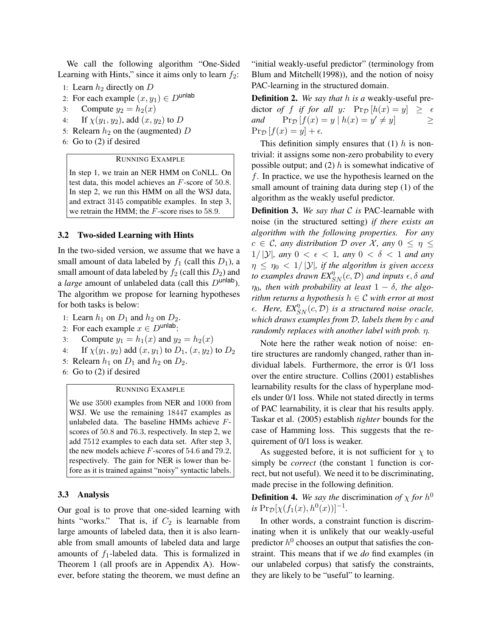We call the following algorithm "One-Sided Learning with Hints," since it aims only to learn  $f_2$ :

- 1: Learn  $h_2$  directly on  $D$
- 2: For each example  $(x, y_1) \in D^{\text{unlab}}$
- 3: Compute  $y_2 = h_2(x)$
- 4: If  $\chi(y_1, y_2)$ , add  $(x, y_2)$  to D
- 5: Relearn  $h_2$  on the (augmented) D
- 6: Go to (2) if desired

### RUNNING EXAMPLE

In step 1, we train an NER HMM on CoNLL. On test data, this model achieves an F-score of 50.8. In step 2, we run this HMM on all the WSJ data, and extract 3145 compatible examples. In step 3, we retrain the HMM; the F-score rises to 58.9.

#### 3.2 Two-sided Learning with Hints

In the two-sided version, we assume that we have a small amount of data labeled by  $f_1$  (call this  $D_1$ ), a small amount of data labeled by  $f_2$  (call this  $D_2$ ) and a *large* amount of unlabeled data (call this  $D^{\text{unlab}}$ ). The algorithm we propose for learning hypotheses for both tasks is below:

- 1: Learn  $h_1$  on  $D_1$  and  $h_2$  on  $D_2$ .
- 2: For each example  $x \in D^{\text{unlab}}$ :
- 3: Compute  $y_1 = h_1(x)$  and  $y_2 = h_2(x)$
- 4: If  $\chi(y_1, y_2)$  add  $(x, y_1)$  to  $D_1$ ,  $(x, y_2)$  to  $D_2$
- 5: Relearn  $h_1$  on  $D_1$  and  $h_2$  on  $D_2$ .
- 6: Go to (2) if desired

## RUNNING EXAMPLE

We use 3500 examples from NER and 1000 from WSJ. We use the remaining 18447 examples as unlabeled data. The baseline HMMs achieve Fscores of 50.8 and 76.3, respectively. In step 2, we add 7512 examples to each data set. After step 3, the new models achieve F-scores of 54.6 and 79.2, respectively. The gain for NER is lower than before as it is trained against "noisy" syntactic labels.

### 3.3 Analysis

Our goal is to prove that one-sided learning with hints "works." That is, if  $C_2$  is learnable from large amounts of labeled data, then it is also learnable from small amounts of labeled data and large amounts of  $f_1$ -labeled data. This is formalized in Theorem 1 (all proofs are in Appendix A). However, before stating the theorem, we must define an "initial weakly-useful predictor" (terminology from Blum and Mitchell(1998)), and the notion of noisy PAC-learning in the structured domain.

Definition 2. *We say that* h *is a* weakly-useful predictor *of* f *if for all* y:  $Pr_{\mathcal{D}}[h(x) = y] \geq \epsilon$ *and*  $\Pr_{\mathcal{D}}[f(x) = y \mid h(x) = y' \neq y]$   $\geq$  $\Pr_{\mathcal{D}} [f(x) = y] + \epsilon.$ 

This definition simply ensures that  $(1)$  h is nontrivial: it assigns some non-zero probability to every possible output; and  $(2)$  h is somewhat indicative of f. In practice, we use the hypothesis learned on the small amount of training data during step (1) of the algorithm as the weakly useful predictor.

Definition 3. *We say that* C *is* PAC-learnable with noise (in the structured setting) *if there exists an algorithm with the following properties. For any*  $c \in \mathcal{C}$ , any distribution D over X, any  $0 \leq \eta \leq$ 1/  $|\mathcal{Y}|$ *, any*  $0 < \epsilon < 1$ *, any*  $0 < \delta < 1$  *and any*  $\eta \leq \eta_0 < 1/|\mathcal{Y}|$ *, if the algorithm is given access to examples drawn*  $EX_{SN}^{\eta}(c, \mathcal{D})$  *and inputs*  $\epsilon, \delta$  *and*  $\eta_0$ , then with probability at least  $1 - \delta$ , the algo*rithm returns a hypothesis*  $h \in \mathcal{C}$  *with error at most*  $\epsilon$ . *Here,*  $EX_{SN}^{\eta}(c, \mathcal{D})$  *is a structured noise oracle, which draws examples from* D*, labels them by* c *and randomly replaces with another label with prob.* η*.*

Note here the rather weak notion of noise: entire structures are randomly changed, rather than individual labels. Furthermore, the error is 0/1 loss over the entire structure. Collins (2001) establishes learnability results for the class of hyperplane models under 0/1 loss. While not stated directly in terms of PAC learnability, it is clear that his results apply. Taskar et al. (2005) establish *tighter* bounds for the case of Hamming loss. This suggests that the requirement of 0/1 loss is weaker.

As suggested before, it is not sufficient for  $\chi$  to simply be *correct* (the constant 1 function is correct, but not useful). We need it to be discriminating, made precise in the following definition.

**Definition 4.** We say the discrimination of  $\chi$  for  $h^0$  $i$ *s* Pr<sub>D</sub>[ $\chi(f_1(x), h^0(x))]^{-1}$ *.* 

In other words, a constraint function is discriminating when it is unlikely that our weakly-useful predictor  $h^0$  chooses an output that satisfies the constraint. This means that if we *do* find examples (in our unlabeled corpus) that satisfy the constraints, they are likely to be "useful" to learning.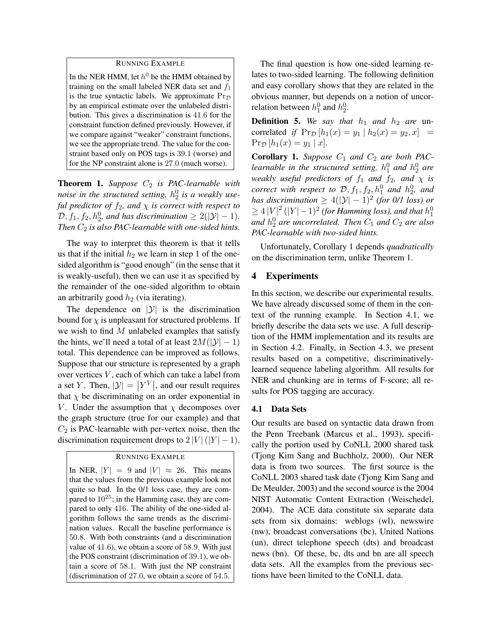## RUNNING EXAMPLE

In the NER HMM, let  $h^0$  be the HMM obtained by training on the small labeled NER data set and  $f_1$ is the true syntactic labels. We approximate  $Pr<sub>D</sub>$ by an empirical estimate over the unlabeled distribution. This gives a discrimination is 41.6 for the constraint function defined previously. However, if we compare against "weaker" constraint functions, we see the appropriate trend. The value for the constraint based only on POS tags is 39.1 (worse) and for the NP constraint alone is 27.0 (much worse).

**Theorem 1.** Suppose  $C_2$  is PAC-learnable with *noise in the structured setting,* h 0 2 *is a weakly useful predictor of*  $f_2$ *, and*  $\chi$  *is correct with respect to*  $\mathcal{D}, f_1, f_2, h_2^0$ , and has discrimination  $\geq 2(|\mathcal{Y}|-1)$ . *Then*  $C_2$  *is also PAC-learnable with one-sided hints.* 

The way to interpret this theorem is that it tells us that if the initial  $h_2$  we learn in step 1 of the onesided algorithm is "good enough" (in the sense that it is weakly-useful), then we can use it as specified by the remainder of the one-sided algorithm to obtain an arbitrarily good  $h_2$  (via iterating).

The dependence on  $|y|$  is the discrimination bound for  $\chi$  is unpleasant for structured problems. If we wish to find  $M$  unlabeled examples that satisfy the hints, we'll need a total of at least  $2M(|\mathcal{Y}|-1)$ total. This dependence can be improved as follows. Suppose that our structure is represented by a graph over vertices V, each of which can take a label from a set Y. Then,  $|\mathcal{Y}| = |Y^V|$ , and our result requires that  $\chi$  be discriminating on an order exponential in V. Under the assumption that  $\chi$  decomposes over the graph structure (true for our example) and that  $C_2$  is PAC-learnable with per-vertex noise, then the discrimination requirement drops to  $2 |V| (|Y| - 1)$ .

#### RUNNING EXAMPLE

In NER,  $|Y| = 9$  and  $|V| \approx 26$ . This means that the values from the previous example look not quite so bad. In the 0/1 loss case, they are compared to  $10^{25}$ ; in the Hamming case, they are compared to only 416. The ability of the one-sided algorithm follows the same trends as the discrimination values. Recall the baseline performance is 50.8. With both constraints (and a discrimination value of 41.6), we obtain a score of 58.9. With just the POS constraint (discrimination of 39.1), we obtain a score of 58.1. With just the NP constraint (discrimination of 27.0, we obtain a score of 54.5.

The final question is how one-sided learning relates to two-sided learning. The following definition and easy corollary shows that they are related in the obvious manner, but depends on a notion of uncorrelation between  $h_1^0$  and  $h_2^0$ .

**Definition 5.** We say that  $h_1$  and  $h_2$  are uncorrelated *if*  $Pr_{\mathcal{D}}[h_1(x) = y_1 | h_2(x) = y_2, x] =$  $Pr_{\mathcal{D}}[h_1(x) = y_1 | x]$ .

**Corollary 1.** Suppose  $C_1$  and  $C_2$  are both PAClearnable in the structured setting,  $h_1^0$  and  $h_2^0$  are *weakly useful predictors of*  $f_1$  *and*  $f_2$ *, and*  $\chi$  *is correct with respect to*  $D, f_1, f_2, h_1^0$  *and*  $h_2^0$ *, and has discrimination*  $\geq 4(|\mathcal{Y}|-1)^2$  (for 0/1 loss) or  $\geq 4\left|V\right|^2(\left|Y\right|-1)^2$  (for Hamming loss), and that  $h_1^0$ and  $h_2^0$  are uncorrelated. Then  $C_1$  and  $C_2$  are also *PAC-learnable with two-sided hints.*

Unfortunately, Corollary 1 depends *quadratically* on the discrimination term, unlike Theorem 1.

## 4 Experiments

In this section, we describe our experimental results. We have already discussed some of them in the context of the running example. In Section 4.1, we briefly describe the data sets we use. A full description of the HMM implementation and its results are in Section 4.2. Finally, in Section 4.3, we present results based on a competitive, discriminativelylearned sequence labeling algorithm. All results for NER and chunking are in terms of F-score; all results for POS tagging are accuracy.

#### 4.1 Data Sets

Our results are based on syntactic data drawn from the Penn Treebank (Marcus et al., 1993), specifically the portion used by CoNLL 2000 shared task (Tjong Kim Sang and Buchholz, 2000). Our NER data is from two sources. The first source is the CoNLL 2003 shared task date (Tjong Kim Sang and De Meulder, 2003) and the second source is the 2004 NIST Automatic Content Extraction (Weischedel, 2004). The ACE data constitute six separate data sets from six domains: weblogs (wl), newswire (nw), broadcast conversations (bc), United Nations (un), direct telephone speech (dts) and broadcast news (bn). Of these, bc, dts and bn are all speech data sets. All the examples from the previous sections have been limited to the CoNLL data.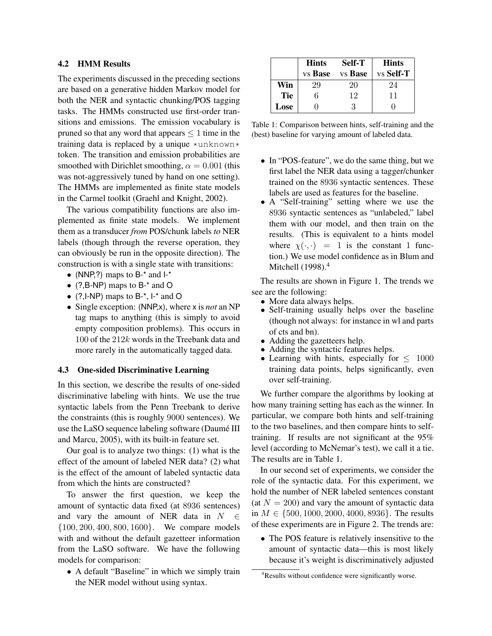# 4.2 HMM Results

The experiments discussed in the preceding sections are based on a generative hidden Markov model for both the NER and syntactic chunking/POS tagging tasks. The HMMs constructed use first-order transitions and emissions. The emission vocabulary is pruned so that any word that appears  $\leq 1$  time in the training data is replaced by a unique  $\star$ unknown $\star$ token. The transition and emission probabilities are smoothed with Dirichlet smoothing,  $\alpha = 0.001$  (this was not-aggressively tuned by hand on one setting). The HMMs are implemented as finite state models in the Carmel toolkit (Graehl and Knight, 2002).

The various compatibility functions are also implemented as finite state models. We implement them as a transducer *from* POS/chunk labels *to* NER labels (though through the reverse operation, they can obviously be run in the opposite direction). The construction is with a single state with transitions:

- (NNP,?) maps to  $B^{-*}$  and  $I^{-*}$
- (?,B-NP) maps to B-\* and O
- (?, $I-NP$ ) maps to  $B^{-*}$ ,  $I^{-*}$  and O
- Single exception: (NNP,x), where x is *not* an NP tag maps to anything (this is simply to avoid empty composition problems). This occurs in 100 of the 212k words in the Treebank data and more rarely in the automatically tagged data.

## 4.3 One-sided Discriminative Learning

In this section, we describe the results of one-sided discriminative labeling with hints. We use the true syntactic labels from the Penn Treebank to derive the constraints (this is roughly 9000 sentences). We use the LaSO sequence labeling software (Daumé III and Marcu, 2005), with its built-in feature set.

Our goal is to analyze two things: (1) what is the effect of the amount of labeled NER data? (2) what is the effect of the amount of labeled syntactic data from which the hints are constructed?

To answer the first question, we keep the amount of syntactic data fixed (at 8936 sentences) and vary the amount of NER data in  $N \in$ {100, 200, 400, 800, 1600}. We compare models with and without the default gazetteer information from the LaSO software. We have the following models for comparison:

• A default "Baseline" in which we simply train the NER model without using syntax.

|      | <b>Hints</b> | Self-T  | <b>Hints</b> |
|------|--------------|---------|--------------|
|      | vs Base      | vs Base | vs Self-T    |
| Win  | 29           | 20      | 24           |
| Tie  | հ            | 12      | 11           |
| Lose |              |         |              |

Table 1: Comparison between hints, self-training and the (best) baseline for varying amount of labeled data.

- In "POS-feature", we do the same thing, but we first label the NER data using a tagger/chunker trained on the 8936 syntactic sentences. These labels are used as features for the baseline.
- A "Self-training" setting where we use the 8936 syntactic sentences as "unlabeled," label them with our model, and then train on the results. (This is equivalent to a hints model where  $\chi(\cdot, \cdot) = 1$  is the constant 1 function.) We use model confidence as in Blum and Mitchell (1998).<sup>4</sup>

The results are shown in Figure 1. The trends we see are the following:

- More data always helps.
- Self-training usually helps over the baseline (though not always: for instance in wl and parts of cts and bn).
- Adding the gazetteers help.
- Adding the syntactic features helps.
- Learning with hints, especially for  $\leq 1000$ training data points, helps significantly, even over self-training.

We further compare the algorithms by looking at how many training setting has each as the winner. In particular, we compare both hints and self-training to the two baselines, and then compare hints to selftraining. If results are not significant at the 95% level (according to McNemar's test), we call it a tie. The results are in Table 1.

In our second set of experiments, we consider the role of the syntactic data. For this experiment, we hold the number of NER labeled sentences constant (at  $N = 200$ ) and vary the amount of syntactic data in  $M \in \{500, 1000, 2000, 4000, 8936\}$ . The results of these experiments are in Figure 2. The trends are:

• The POS feature is relatively insensitive to the amount of syntactic data—this is most likely because it's weight is discriminatively adjusted

<sup>4</sup>Results without confidence were significantly worse.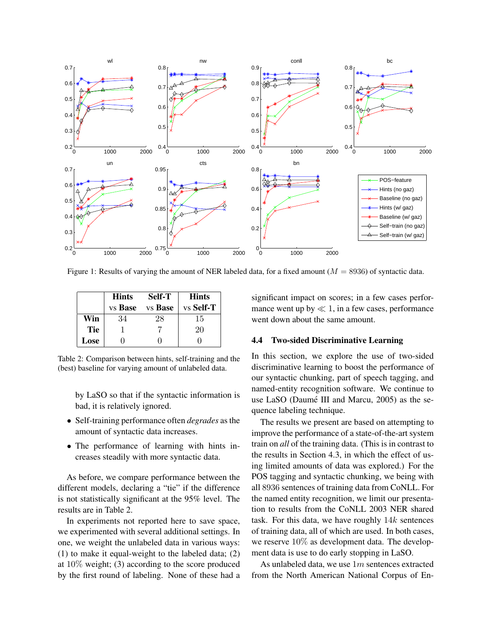

Figure 1: Results of varying the amount of NER labeled data, for a fixed amount ( $M = 8936$ ) of syntactic data.

|            | <b>Hints</b>   | <b>Self-T</b> | <b>Hints</b> |
|------------|----------------|---------------|--------------|
|            | vs <b>Base</b> | vs Base       | vs Self-T    |
| Win        | 34             | 28            | 15           |
| <b>Tie</b> |                |               | 20           |
| Lose       |                |               |              |

Table 2: Comparison between hints, self-training and the (best) baseline for varying amount of unlabeled data.

by LaSO so that if the syntactic information is bad, it is relatively ignored.

- Self-training performance often *degrades* as the amount of syntactic data increases.
- The performance of learning with hints increases steadily with more syntactic data.

As before, we compare performance between the different models, declaring a "tie" if the difference is not statistically significant at the 95% level. The results are in Table 2.

In experiments not reported here to save space, we experimented with several additional settings. In one, we weight the unlabeled data in various ways: (1) to make it equal-weight to the labeled data; (2) at 10% weight; (3) according to the score produced by the first round of labeling. None of these had a significant impact on scores; in a few cases performance went up by  $\ll 1$ , in a few cases, performance went down about the same amount.

#### 4.4 Two-sided Discriminative Learning

In this section, we explore the use of two-sided discriminative learning to boost the performance of our syntactic chunking, part of speech tagging, and named-entity recognition software. We continue to use LaSO (Daumé III and Marcu, 2005) as the sequence labeling technique.

The results we present are based on attempting to improve the performance of a state-of-the-art system train on *all* of the training data. (This is in contrast to the results in Section 4.3, in which the effect of using limited amounts of data was explored.) For the POS tagging and syntactic chunking, we being with all 8936 sentences of training data from CoNLL. For the named entity recognition, we limit our presentation to results from the CoNLL 2003 NER shared task. For this data, we have roughly  $14k$  sentences of training data, all of which are used. In both cases, we reserve 10% as development data. The development data is use to do early stopping in LaSO.

As unlabeled data, we use  $1m$  sentences extracted from the North American National Corpus of En-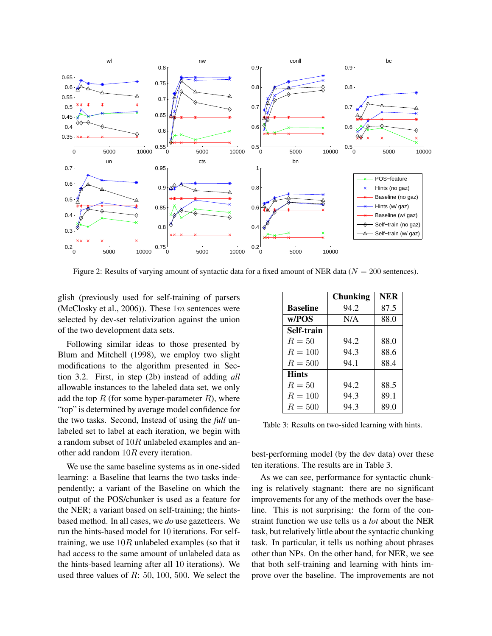

Figure 2: Results of varying amount of syntactic data for a fixed amount of NER data ( $N = 200$  sentences).

glish (previously used for self-training of parsers (McClosky et al., 2006)). These  $1m$  sentences were selected by dev-set relativization against the union of the two development data sets.

Following similar ideas to those presented by Blum and Mitchell (1998), we employ two slight modifications to the algorithm presented in Section 3.2. First, in step (2b) instead of adding *all* allowable instances to the labeled data set, we only add the top  $R$  (for some hyper-parameter  $R$ ), where "top" is determined by average model confidence for the two tasks. Second, Instead of using the *full* unlabeled set to label at each iteration, we begin with a random subset of 10R unlabeled examples and another add random 10R every iteration.

We use the same baseline systems as in one-sided learning: a Baseline that learns the two tasks independently; a variant of the Baseline on which the output of the POS/chunker is used as a feature for the NER; a variant based on self-training; the hintsbased method. In all cases, we *do* use gazetteers. We run the hints-based model for 10 iterations. For selftraining, we use  $10R$  unlabeled examples (so that it had access to the same amount of unlabeled data as the hints-based learning after all 10 iterations). We used three values of  $R: 50, 100, 500$ . We select the

|                 | <b>Chunking</b> | <b>NER</b> |
|-----------------|-----------------|------------|
| <b>Baseline</b> | 94.2            | 87.5       |
| w/POS           | N/A             | 88.0       |
| Self-train      |                 |            |
| $R=50$          | 94.2            | 88.0       |
| $R = 100$       | 94.3            | 88.6       |
| $R = 500$       | 94.1            | 88.4       |
| <b>Hints</b>    |                 |            |
| $R=50$          | 94.2            | 88.5       |
| $R=100$         | 94.3            | 89.1       |
| $R=500$         | 94.3            | 89.0       |

Table 3: Results on two-sided learning with hints.

best-performing model (by the dev data) over these ten iterations. The results are in Table 3.

As we can see, performance for syntactic chunking is relatively stagnant: there are no significant improvements for any of the methods over the baseline. This is not surprising: the form of the constraint function we use tells us a *lot* about the NER task, but relatively little about the syntactic chunking task. In particular, it tells us nothing about phrases other than NPs. On the other hand, for NER, we see that both self-training and learning with hints improve over the baseline. The improvements are not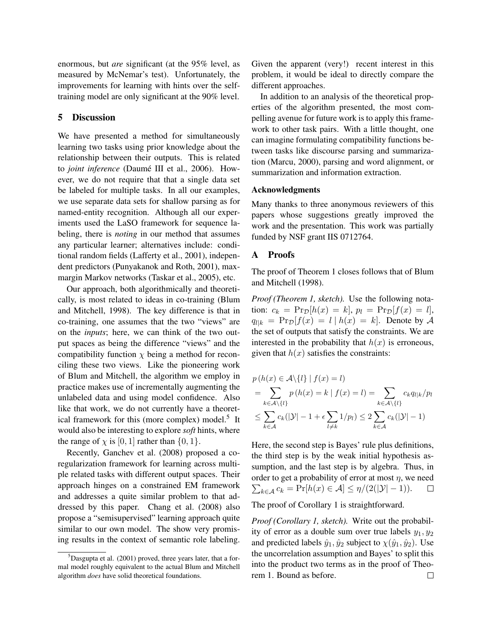enormous, but *are* significant (at the 95% level, as measured by McNemar's test). Unfortunately, the improvements for learning with hints over the selftraining model are only significant at the 90% level.

## 5 Discussion

We have presented a method for simultaneously learning two tasks using prior knowledge about the relationship between their outputs. This is related to *joint inference* (Daumé III et al., 2006). However, we do not require that that a single data set be labeled for multiple tasks. In all our examples, we use separate data sets for shallow parsing as for named-entity recognition. Although all our experiments used the LaSO framework for sequence labeling, there is *noting* in our method that assumes any particular learner; alternatives include: conditional random fields (Lafferty et al., 2001), independent predictors (Punyakanok and Roth, 2001), maxmargin Markov networks (Taskar et al., 2005), etc.

Our approach, both algorithmically and theoretically, is most related to ideas in co-training (Blum and Mitchell, 1998). The key difference is that in co-training, one assumes that the two "views" are on the *inputs*; here, we can think of the two output spaces as being the difference "views" and the compatibility function  $\chi$  being a method for reconciling these two views. Like the pioneering work of Blum and Mitchell, the algorithm we employ in practice makes use of incrementally augmenting the unlabeled data and using model confidence. Also like that work, we do not currently have a theoretical framework for this (more complex) model.<sup>5</sup> It would also be interesting to explore *soft* hints, where the range of  $\chi$  is [0, 1] rather than {0, 1}.

Recently, Ganchev et al. (2008) proposed a coregularization framework for learning across multiple related tasks with different output spaces. Their approach hinges on a constrained EM framework and addresses a quite similar problem to that addressed by this paper. Chang et al. (2008) also propose a "semisupervised" learning approach quite similar to our own model. The show very promising results in the context of semantic role labeling.

Given the apparent (very!) recent interest in this problem, it would be ideal to directly compare the different approaches.

In addition to an analysis of the theoretical properties of the algorithm presented, the most compelling avenue for future work is to apply this framework to other task pairs. With a little thought, one can imagine formulating compatibility functions between tasks like discourse parsing and summarization (Marcu, 2000), parsing and word alignment, or summarization and information extraction.

#### Acknowledgments

Many thanks to three anonymous reviewers of this papers whose suggestions greatly improved the work and the presentation. This work was partially funded by NSF grant IIS 0712764.

## A Proofs

The proof of Theorem 1 closes follows that of Blum and Mitchell (1998).

*Proof (Theorem 1, sketch).* Use the following notation:  $c_k = \Pr_{\mathcal{D}}[h(x) = k], p_l = \Pr_{\mathcal{D}}[f(x) = l],$  $q_{l|k}$  =  $Pr_{\mathcal{D}}[f(x) = l | h(x) = k]$ . Denote by A the set of outputs that satisfy the constraints. We are interested in the probability that  $h(x)$  is erroneous, given that  $h(x)$  satisfies the constraints:

$$
p(h(x) \in \mathcal{A} \setminus \{l\} \mid f(x) = l)
$$
  
= 
$$
\sum_{k \in \mathcal{A} \setminus \{l\}} p(h(x) = k \mid f(x) = l) = \sum_{k \in \mathcal{A} \setminus \{l\}} c_k q_{l|k}/p_l
$$
  

$$
\leq \sum_{k \in \mathcal{A}} c_k (|\mathcal{Y}| - 1 + \epsilon \sum_{l \neq k} 1/p_l) \leq 2 \sum_{k \in \mathcal{A}} c_k (|\mathcal{Y}| - 1)
$$

Here, the second step is Bayes' rule plus definitions, the third step is by the weak initial hypothesis assumption, and the last step is by algebra. Thus, in order to get a probability of error at most  $\eta$ , we need  $\sum_{k\in\mathcal{A}} c_k = \Pr[h(x) \in \mathcal{A}] \leq \eta/(2(|\mathcal{Y}|-1)).$  $\Box$ 

The proof of Corollary 1 is straightforward.

*Proof (Corollary 1, sketch).* Write out the probability of error as a double sum over true labels  $y_1, y_2$ and predicted labels  $\hat{y}_1, \hat{y}_2$  subject to  $\chi(\hat{y}_1, \hat{y}_2)$ . Use the uncorrelation assumption and Bayes' to split this into the product two terms as in the proof of Theorem 1. Bound as before. $\Box$ 

 ${}^{5}$ Dasgupta et al. (2001) proved, three years later, that a formal model roughly equivalent to the actual Blum and Mitchell algorithm *does* have solid theoretical foundations.